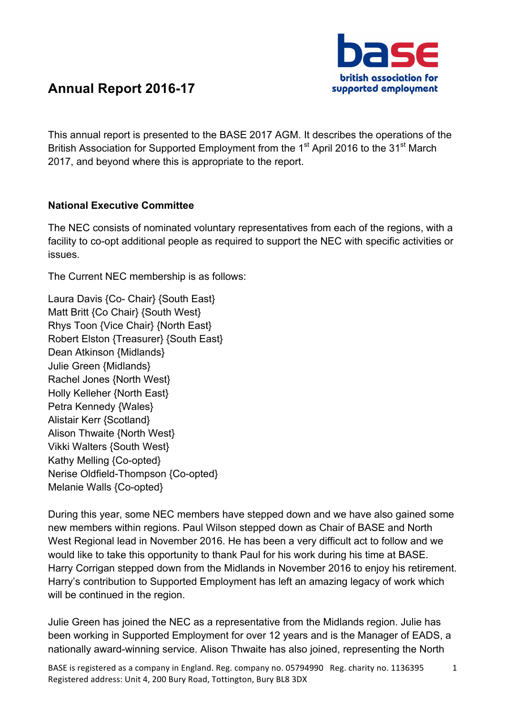

# **Annual Report 2016-17**

This annual report is presented to the BASE 2017 AGM. It describes the operations of the British Association for Supported Employment from the 1<sup>st</sup> April 2016 to the 31<sup>st</sup> March 2017, and beyond where this is appropriate to the report.

# **National Executive Committee**

The NEC consists of nominated voluntary representatives from each of the regions, with a facility to co-opt additional people as required to support the NEC with specific activities or issues.

The Current NEC membership is as follows:

Laura Davis {Co- Chair} {South East} Matt Britt {Co Chair} {South West} Rhys Toon {Vice Chair} {North East} Robert Elston {Treasurer} {South East} Dean Atkinson {Midlands} Julie Green {Midlands} Rachel Jones {North West} Holly Kelleher {North East} Petra Kennedy {Wales} Alistair Kerr {Scotland} Alison Thwaite {North West} Vikki Walters {South West} Kathy Melling {Co-opted} Nerise Oldfield-Thompson {Co-opted} Melanie Walls {Co-opted}

During this year, some NEC members have stepped down and we have also gained some new members within regions. Paul Wilson stepped down as Chair of BASE and North West Regional lead in November 2016. He has been a very difficult act to follow and we would like to take this opportunity to thank Paul for his work during his time at BASE. Harry Corrigan stepped down from the Midlands in November 2016 to enjoy his retirement. Harry's contribution to Supported Employment has left an amazing legacy of work which will be continued in the region.

Julie Green has joined the NEC as a representative from the Midlands region. Julie has been working in Supported Employment for over 12 years and is the Manager of EADS, a nationally award-winning service. Alison Thwaite has also joined, representing the North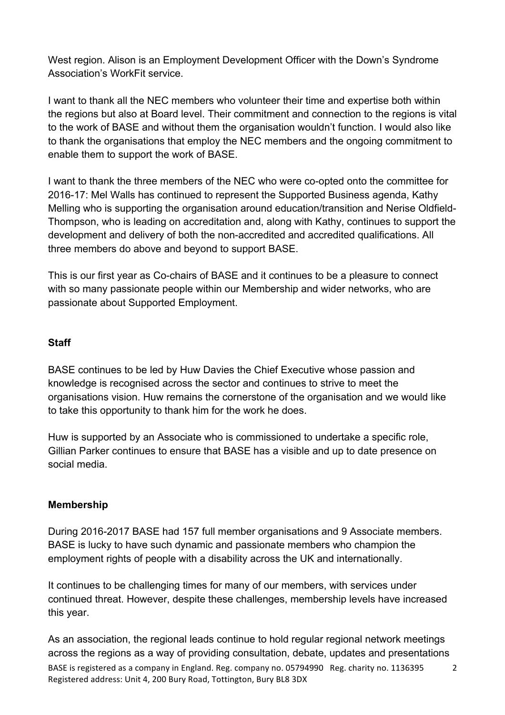West region. Alison is an Employment Development Officer with the Down's Syndrome Association's WorkFit service.

I want to thank all the NEC members who volunteer their time and expertise both within the regions but also at Board level. Their commitment and connection to the regions is vital to the work of BASE and without them the organisation wouldn't function. I would also like to thank the organisations that employ the NEC members and the ongoing commitment to enable them to support the work of BASE.

I want to thank the three members of the NEC who were co-opted onto the committee for 2016-17: Mel Walls has continued to represent the Supported Business agenda, Kathy Melling who is supporting the organisation around education/transition and Nerise Oldfield-Thompson, who is leading on accreditation and, along with Kathy, continues to support the development and delivery of both the non-accredited and accredited qualifications. All three members do above and beyond to support BASE.

This is our first year as Co-chairs of BASE and it continues to be a pleasure to connect with so many passionate people within our Membership and wider networks, who are passionate about Supported Employment.

#### **Staff**

BASE continues to be led by Huw Davies the Chief Executive whose passion and knowledge is recognised across the sector and continues to strive to meet the organisations vision. Huw remains the cornerstone of the organisation and we would like to take this opportunity to thank him for the work he does.

Huw is supported by an Associate who is commissioned to undertake a specific role, Gillian Parker continues to ensure that BASE has a visible and up to date presence on social media.

# **Membership**

During 2016-2017 BASE had 157 full member organisations and 9 Associate members. BASE is lucky to have such dynamic and passionate members who champion the employment rights of people with a disability across the UK and internationally.

It continues to be challenging times for many of our members, with services under continued threat. However, despite these challenges, membership levels have increased this year.

As an association, the regional leads continue to hold regular regional network meetings across the regions as a way of providing consultation, debate, updates and presentations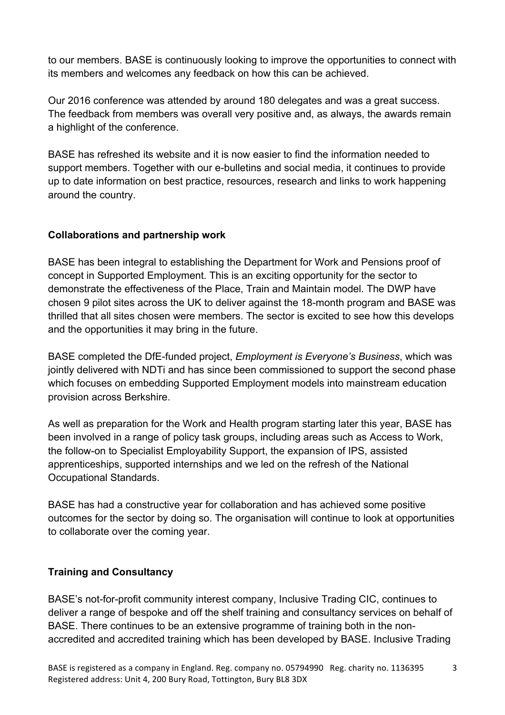to our members. BASE is continuously looking to improve the opportunities to connect with its members and welcomes any feedback on how this can be achieved.

Our 2016 conference was attended by around 180 delegates and was a great success. The feedback from members was overall very positive and, as always, the awards remain a highlight of the conference.

BASE has refreshed its website and it is now easier to find the information needed to support members. Together with our e-bulletins and social media, it continues to provide up to date information on best practice, resources, research and links to work happening around the country.

# **Collaborations and partnership work**

BASE has been integral to establishing the Department for Work and Pensions proof of concept in Supported Employment. This is an exciting opportunity for the sector to demonstrate the effectiveness of the Place, Train and Maintain model. The DWP have chosen 9 pilot sites across the UK to deliver against the 18-month program and BASE was thrilled that all sites chosen were members. The sector is excited to see how this develops and the opportunities it may bring in the future.

BASE completed the DfE-funded project, *Employment is Everyone's Business*, which was jointly delivered with NDTi and has since been commissioned to support the second phase which focuses on embedding Supported Employment models into mainstream education provision across Berkshire.

As well as preparation for the Work and Health program starting later this year, BASE has been involved in a range of policy task groups, including areas such as Access to Work, the follow-on to Specialist Employability Support, the expansion of IPS, assisted apprenticeships, supported internships and we led on the refresh of the National Occupational Standards.

BASE has had a constructive year for collaboration and has achieved some positive outcomes for the sector by doing so. The organisation will continue to look at opportunities to collaborate over the coming year.

# **Training and Consultancy**

BASE's not-for-profit community interest company, Inclusive Trading CIC, continues to deliver a range of bespoke and off the shelf training and consultancy services on behalf of BASE. There continues to be an extensive programme of training both in the nonaccredited and accredited training which has been developed by BASE. Inclusive Trading